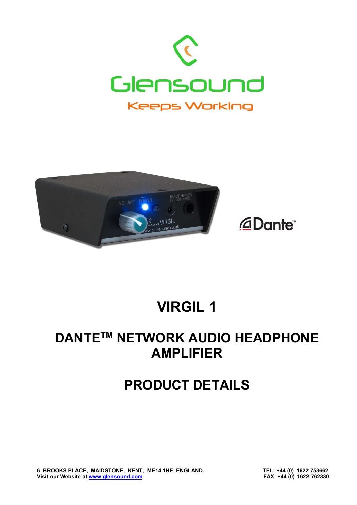





## **VIRGIL 1**

## **DANTE<sup>™</sup> NETWORK AUDIO HEADPHONE AMPLIFIER**

## **PRODUCT DETAILS**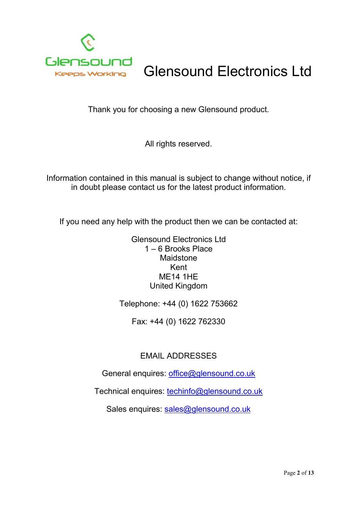

## Glensound Electronics Ltd

Thank you for choosing a new Glensound product.

All rights reserved.

Information contained in this manual is subject to change without notice, if in doubt please contact us for the latest product information.

If you need any help with the product then we can be contacted at:

Glensound Electronics Ltd 1 – 6 Brooks Place Maidstone Kent ME14 1HE United Kingdom

Telephone: +44 (0) 1622 753662

Fax: +44 (0) 1622 762330

#### EMAIL ADDRESSES

General enquires: office@glensound.co.uk

Technical enquires: techinfo@glensound.co.uk

Sales enquires: sales@glensound.co.uk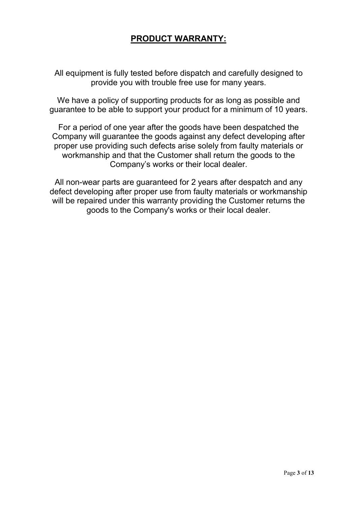#### **PRODUCT WARRANTY:**

All equipment is fully tested before dispatch and carefully designed to provide you with trouble free use for many years.

We have a policy of supporting products for as long as possible and guarantee to be able to support your product for a minimum of 10 years.

For a period of one year after the goods have been despatched the Company will guarantee the goods against any defect developing after proper use providing such defects arise solely from faulty materials or workmanship and that the Customer shall return the goods to the Company's works or their local dealer.

All non-wear parts are guaranteed for 2 years after despatch and any defect developing after proper use from faulty materials or workmanship will be repaired under this warranty providing the Customer returns the goods to the Company's works or their local dealer.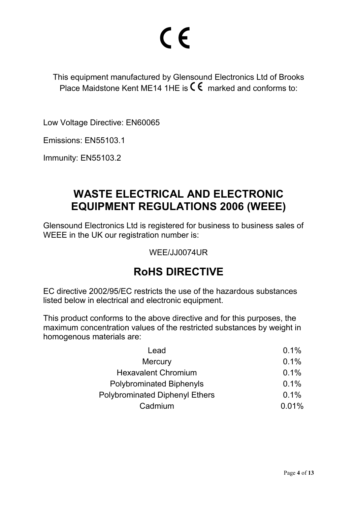# CE

This equipment manufactured by Glensound Electronics Ltd of Brooks Place Maidstone Kent ME14 1HE is  $\mathsf{\mathsf{C}} \mathsf{\mathsf{E}}$  marked and conforms to:

Low Voltage Directive: EN60065

Emissions: EN55103.1

Immunity: EN55103.2

#### **WASTE ELECTRICAL AND ELECTRONIC EQUIPMENT REGULATIONS 2006 (WEEE)**

Glensound Electronics Ltd is registered for business to business sales of WEEE in the UK our registration number is:

WEE/JJ0074UR

#### **RoHS DIRECTIVE**

EC directive 2002/95/EC restricts the use of the hazardous substances listed below in electrical and electronic equipment.

This product conforms to the above directive and for this purposes, the maximum concentration values of the restricted substances by weight in homogenous materials are:

| Lead                                  | 0.1%  |  |
|---------------------------------------|-------|--|
| <b>Mercury</b>                        | 0.1%  |  |
| <b>Hexavalent Chromium</b>            | 0.1%  |  |
| <b>Polybrominated Biphenyls</b>       | 0.1%  |  |
| <b>Polybrominated Diphenyl Ethers</b> | 0.1%  |  |
| Cadmium                               | 0.01% |  |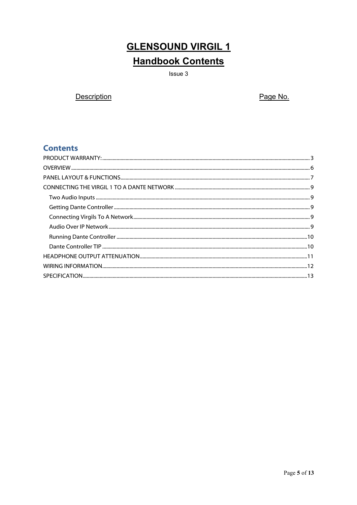### **GLENSOUND VIRGIL 1 Handbook Contents**

Issue 3

**Description** 

Page No.

#### **Contents**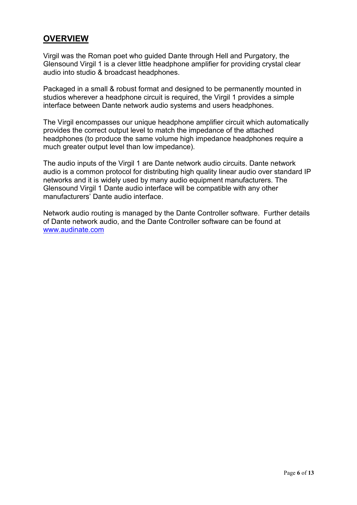#### **OVERVIEW**

Virgil was the Roman poet who guided Dante through Hell and Purgatory, the Glensound Virgil 1 is a clever little headphone amplifier for providing crystal clear audio into studio & broadcast headphones.

Packaged in a small & robust format and designed to be permanently mounted in studios wherever a headphone circuit is required, the Virgil 1 provides a simple interface between Dante network audio systems and users headphones.

The Virgil encompasses our unique headphone amplifier circuit which automatically provides the correct output level to match the impedance of the attached headphones (to produce the same volume high impedance headphones require a much greater output level than low impedance).

The audio inputs of the Virgil 1 are Dante network audio circuits. Dante network audio is a common protocol for distributing high quality linear audio over standard IP networks and it is widely used by many audio equipment manufacturers. The Glensound Virgil 1 Dante audio interface will be compatible with any other manufacturers' Dante audio interface.

Network audio routing is managed by the Dante Controller software. Further details of Dante network audio, and the Dante Controller software can be found at www.audinate.com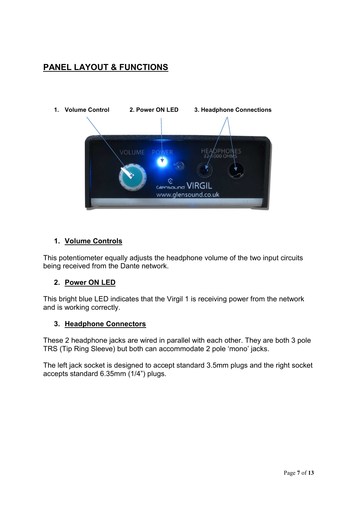#### **PANEL LAYOUT & FUNCTIONS**



#### **1. Volume Controls**

This potentiometer equally adjusts the headphone volume of the two input circuits being received from the Dante network.

#### **2. Power ON LED**

This bright blue LED indicates that the Virgil 1 is receiving power from the network and is working correctly.

#### **3. Headphone Connectors**

These 2 headphone jacks are wired in parallel with each other. They are both 3 pole TRS (Tip Ring Sleeve) but both can accommodate 2 pole 'mono' jacks.

The left jack socket is designed to accept standard 3.5mm plugs and the right socket accepts standard 6.35mm (1/4") plugs.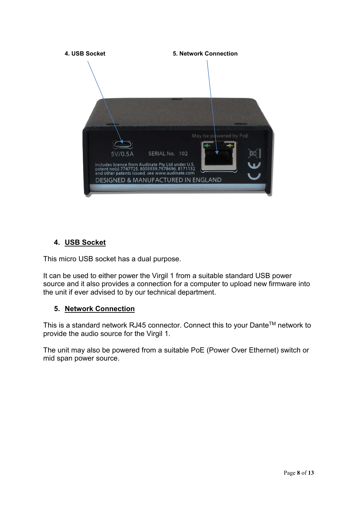

#### **4. USB Socket**

This micro USB socket has a dual purpose.

It can be used to either power the Virgil 1 from a suitable standard USB power source and it also provides a connection for a computer to upload new firmware into the unit if ever advised to by our technical department.

#### **5. Network Connection**

This is a standard network RJ45 connector. Connect this to your Dante™ network to provide the audio source for the Virgil 1.

The unit may also be powered from a suitable PoE (Power Over Ethernet) switch or mid span power source.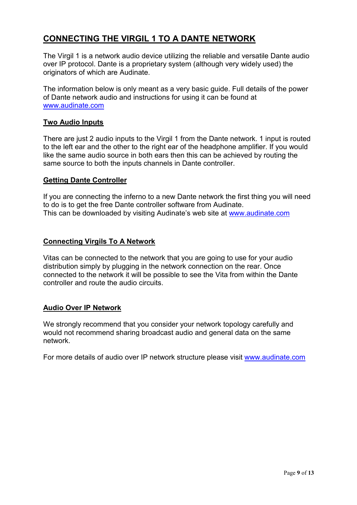#### **CONNECTING THE VIRGIL 1 TO A DANTE NETWORK**

The Virgil 1 is a network audio device utilizing the reliable and versatile Dante audio over IP protocol. Dante is a proprietary system (although very widely used) the originators of which are Audinate.

The information below is only meant as a very basic guide. Full details of the power of Dante network audio and instructions for using it can be found at www.audinate.com

#### **Two Audio Inputs**

There are just 2 audio inputs to the Virgil 1 from the Dante network. 1 input is routed to the left ear and the other to the right ear of the headphone amplifier. If you would like the same audio source in both ears then this can be achieved by routing the same source to both the inputs channels in Dante controller.

#### **Getting Dante Controller**

If you are connecting the inferno to a new Dante network the first thing you will need to do is to get the free Dante controller software from Audinate. This can be downloaded by visiting Audinate's web site at www.audinate.com

#### **Connecting Virgils To A Network**

Vitas can be connected to the network that you are going to use for your audio distribution simply by plugging in the network connection on the rear. Once connected to the network it will be possible to see the Vita from within the Dante controller and route the audio circuits.

#### **Audio Over IP Network**

We strongly recommend that you consider your network topology carefully and would not recommend sharing broadcast audio and general data on the same network.

For more details of audio over IP network structure please visit www.audinate.com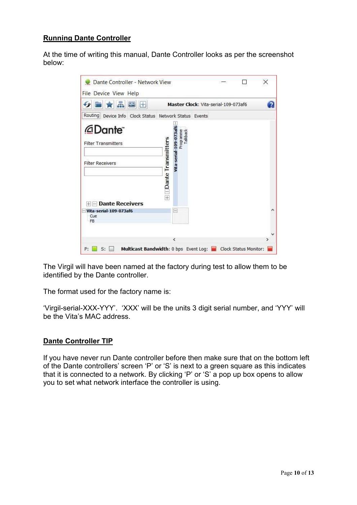#### **Running Dante Controller**

At the time of writing this manual, Dante Controller looks as per the screenshot below:

| 룲<br>$\sim$ $\mathbb{H}$                                                             |                               | Master Clock: Vita-serial-109-073af6          |  |
|--------------------------------------------------------------------------------------|-------------------------------|-----------------------------------------------|--|
| Routing<br>Device Info Clock Status Network Status Events                            |                               |                                               |  |
| <b><i><u></u>ADante</i></b><br><b>Filter Transmitters</b><br><b>Filter Receivers</b> | $+$ $\Box$ Dante Transmitters | Tallback<br>Programme<br>Vita-serial-109-073a |  |
| <b>Dante Receivers</b><br>$+$<br>Vita-serial-109-073af6<br>Cue<br>FB                 |                               | $\overline{a}$                                |  |

The Virgil will have been named at the factory during test to allow them to be identified by the Dante controller.

The format used for the factory name is:

'Virgil-serial-XXX-YYY'. 'XXX' will be the units 3 digit serial number, and 'YYY' will be the Vita's MAC address.

#### **Dante Controller TIP**

If you have never run Dante controller before then make sure that on the bottom left of the Dante controllers' screen 'P' or 'S' is next to a green square as this indicates that it is connected to a network. By clicking 'P' or 'S' a pop up box opens to allow you to set what network interface the controller is using.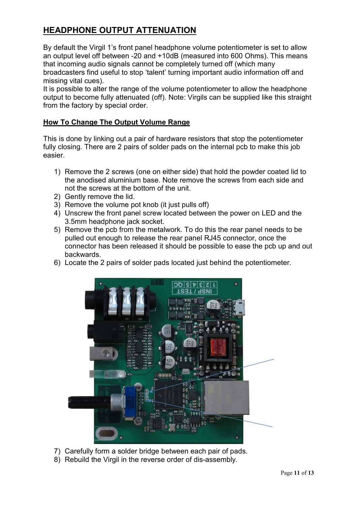#### **HEADPHONE OUTPUT ATTENUATION**

By default the Virgil 1's front panel headphone volume potentiometer is set to allow an output level off between -20 and +10dB (measured into 600 Ohms). This means that incoming audio signals cannot be completely turned off (which many broadcasters find useful to stop 'talent' turning important audio information off and missing vital cues).

It is possible to alter the range of the volume potentiometer to allow the headphone output to become fully attenuated (off). Note: Virgils can be supplied like this straight from the factory by special order.

#### **How To Change The Output Volume Range**

This is done by linking out a pair of hardware resistors that stop the potentiometer fully closing. There are 2 pairs of solder pads on the internal pcb to make this job easier.

- 1) Remove the 2 screws (one on either side) that hold the powder coated lid to the anodised aluminium base. Note remove the screws from each side and not the screws at the bottom of the unit.
- 2) Gently remove the lid.
- 3) Remove the volume pot knob (it just pulls off)
- 4) Unscrew the front panel screw located between the power on LED and the 3.5mm headphone jack socket.
- 5) Remove the pcb from the metalwork. To do this the rear panel needs to be pulled out enough to release the rear panel RJ45 connector, once the connector has been released it should be possible to ease the pcb up and out backwards.
- 6) Locate the 2 pairs of solder pads located just behind the potentiometer.



- 7) Carefully form a solder bridge between each pair of pads.
- 8) Rebuild the Virgil in the reverse order of dis-assembly.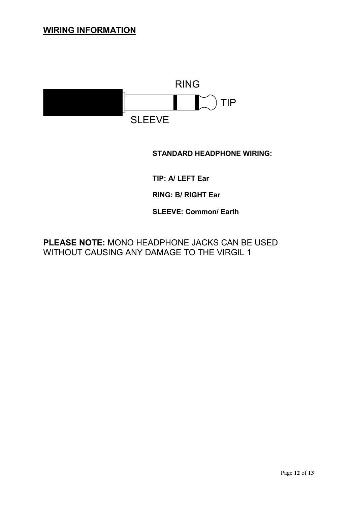#### **WIRING INFORMATION**



**STANDARD HEADPHONE WIRING:**

**TIP: A/ LEFT Ear** 

**RING: B/ RIGHT Ear** 

**SLEEVE: Common/ Earth** 

**PLEASE NOTE:** MONO HEADPHONE JACKS CAN BE USED WITHOUT CAUSING ANY DAMAGE TO THE VIRGIL 1